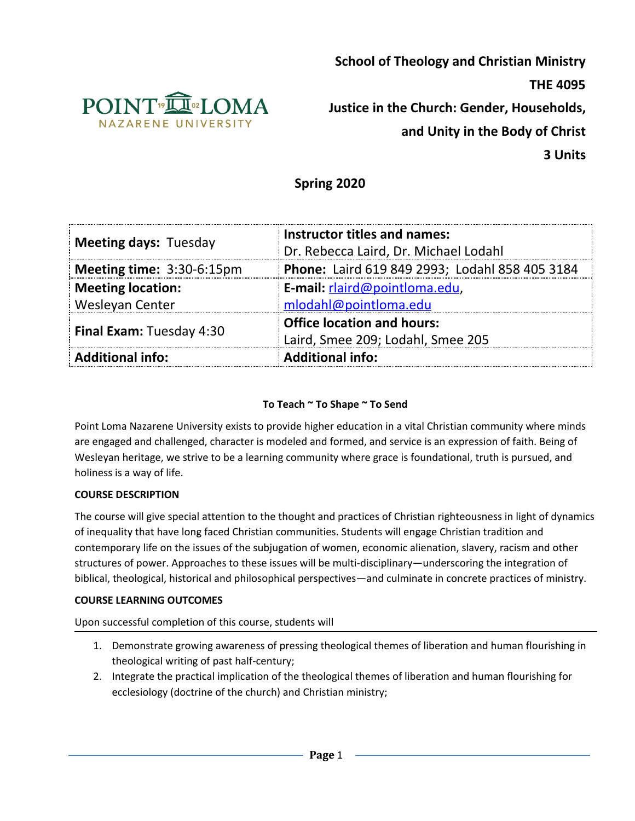

**School of Theology and Christian Ministry THE 4095 Justice in the Church: Gender, Households, and Unity in the Body of Christ**

**3 Units**

# **Spring 2020**

| <b>Meeting days: Tuesday</b>    | Instructor titles and names:                   |  |  |
|---------------------------------|------------------------------------------------|--|--|
|                                 | Dr. Rebecca Laird, Dr. Michael Lodahl          |  |  |
| Meeting time: 3:30-6:15pm       | Phone: Laird 619 849 2993; Lodahl 858 405 3184 |  |  |
| <b>Meeting location:</b>        | E-mail: rlaird@pointloma.edu,                  |  |  |
| Wesleyan Center                 | mlodahl@pointloma.edu                          |  |  |
| <b>Final Exam: Tuesday 4:30</b> | <b>Office location and hours:</b>              |  |  |
|                                 | Laird, Smee 209; Lodahl, Smee 205              |  |  |
| <b>Additional info:</b>         | <b>Additional info:</b>                        |  |  |

### **To Teach ~ To Shape ~ To Send**

Point Loma Nazarene University exists to provide higher education in a vital Christian community where minds are engaged and challenged, character is modeled and formed, and service is an expression of faith. Being of Wesleyan heritage, we strive to be a learning community where grace is foundational, truth is pursued, and holiness is a way of life.

#### **COURSE DESCRIPTION**

The course will give special attention to the thought and practices of Christian righteousness in light of dynamics of inequality that have long faced Christian communities. Students will engage Christian tradition and contemporary life on the issues of the subjugation of women, economic alienation, slavery, racism and other structures of power. Approaches to these issues will be multi-disciplinary—underscoring the integration of biblical, theological, historical and philosophical perspectives—and culminate in concrete practices of ministry.

#### **COURSE LEARNING OUTCOMES**

Upon successful completion of this course, students will

- 1. Demonstrate growing awareness of pressing theological themes of liberation and human flourishing in theological writing of past half-century;
- 2. Integrate the practical implication of the theological themes of liberation and human flourishing for ecclesiology (doctrine of the church) and Christian ministry;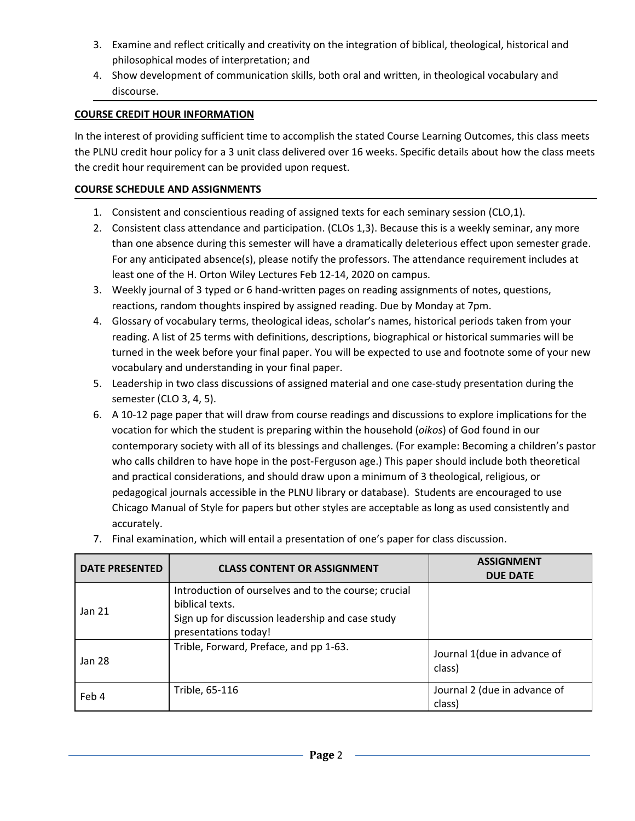- 3. Examine and reflect critically and creativity on the integration of biblical, theological, historical and philosophical modes of interpretation; and
- 4. Show development of communication skills, both oral and written, in theological vocabulary and discourse.

### **COURSE CREDIT HOUR INFORMATION**

In the interest of providing sufficient time to accomplish the stated Course Learning Outcomes, this class meets the PLNU credit hour policy for a 3 unit class delivered over 16 weeks. Specific details about how the class meets the credit hour requirement can be provided upon request.

### **COURSE SCHEDULE AND ASSIGNMENTS**

- 1. Consistent and conscientious reading of assigned texts for each seminary session (CLO,1).
- 2. Consistent class attendance and participation. (CLOs 1,3). Because this is a weekly seminar, any more than one absence during this semester will have a dramatically deleterious effect upon semester grade. For any anticipated absence(s), please notify the professors. The attendance requirement includes at least one of the H. Orton Wiley Lectures Feb 12-14, 2020 on campus.
- 3. Weekly journal of 3 typed or 6 hand-written pages on reading assignments of notes, questions, reactions, random thoughts inspired by assigned reading. Due by Monday at 7pm.
- 4. Glossary of vocabulary terms, theological ideas, scholar's names, historical periods taken from your reading. A list of 25 terms with definitions, descriptions, biographical or historical summaries will be turned in the week before your final paper. You will be expected to use and footnote some of your new vocabulary and understanding in your final paper.
- 5. Leadership in two class discussions of assigned material and one case-study presentation during the semester (CLO 3, 4, 5).
- 6. A 10-12 page paper that will draw from course readings and discussions to explore implications for the vocation for which the student is preparing within the household (*oikos*) of God found in our contemporary society with all of its blessings and challenges. (For example: Becoming a children's pastor who calls children to have hope in the post-Ferguson age.) This paper should include both theoretical and practical considerations, and should draw upon a minimum of 3 theological, religious, or pedagogical journals accessible in the PLNU library or database). Students are encouraged to use Chicago Manual of Style for papers but other styles are acceptable as long as used consistently and accurately.

| <b>DATE PRESENTED</b> | <b>CLASS CONTENT OR ASSIGNMENT</b>                                                                                                                  | <b>ASSIGNMENT</b><br><b>DUE DATE</b>   |
|-----------------------|-----------------------------------------------------------------------------------------------------------------------------------------------------|----------------------------------------|
| Jan <sub>21</sub>     | Introduction of ourselves and to the course; crucial<br>biblical texts.<br>Sign up for discussion leadership and case study<br>presentations today! |                                        |
| Jan 28                | Trible, Forward, Preface, and pp 1-63.                                                                                                              | Journal 1(due in advance of<br>class)  |
| Feb 4                 | Trible, 65-116                                                                                                                                      | Journal 2 (due in advance of<br>class) |

7. Final examination, which will entail a presentation of one's paper for class discussion.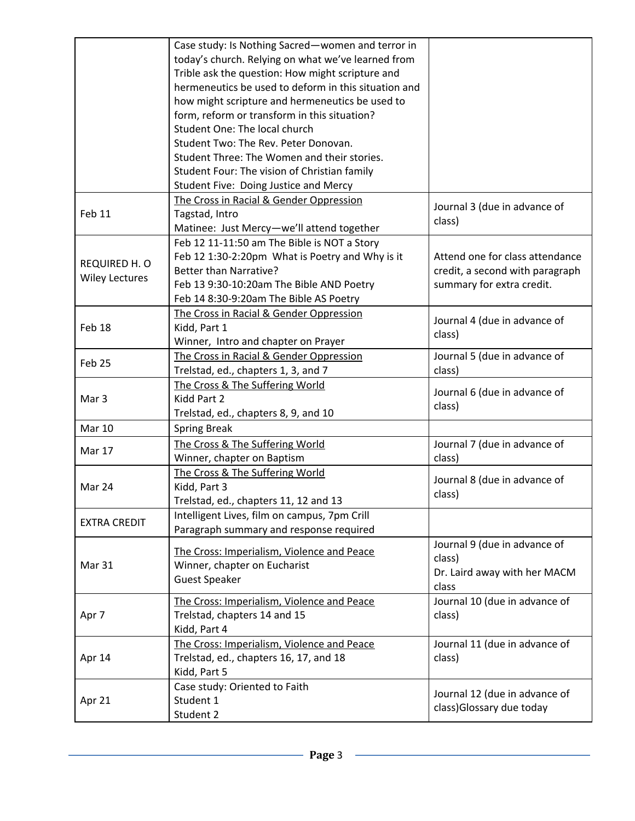|                       | Case study: Is Nothing Sacred-women and terror in    |                                                           |  |
|-----------------------|------------------------------------------------------|-----------------------------------------------------------|--|
|                       | today's church. Relying on what we've learned from   |                                                           |  |
|                       |                                                      |                                                           |  |
|                       | Trible ask the question: How might scripture and     |                                                           |  |
|                       | hermeneutics be used to deform in this situation and |                                                           |  |
|                       | how might scripture and hermeneutics be used to      |                                                           |  |
|                       | form, reform or transform in this situation?         |                                                           |  |
|                       | Student One: The local church                        |                                                           |  |
|                       | Student Two: The Rev. Peter Donovan.                 |                                                           |  |
|                       | Student Three: The Women and their stories.          |                                                           |  |
|                       | Student Four: The vision of Christian family         |                                                           |  |
|                       | Student Five: Doing Justice and Mercy                |                                                           |  |
|                       | The Cross in Racial & Gender Oppression              |                                                           |  |
| Feb 11                | Tagstad, Intro                                       | Journal 3 (due in advance of<br>class)                    |  |
|                       | Matinee: Just Mercy-we'll attend together            |                                                           |  |
|                       | Feb 12 11-11:50 am The Bible is NOT a Story          |                                                           |  |
|                       | Feb 12 1:30-2:20pm What is Poetry and Why is it      | Attend one for class attendance                           |  |
| REQUIRED H. O         | <b>Better than Narrative?</b>                        | credit, a second with paragraph                           |  |
| <b>Wiley Lectures</b> | Feb 13 9:30-10:20am The Bible AND Poetry             | summary for extra credit.                                 |  |
|                       | Feb 14 8:30-9:20am The Bible AS Poetry               |                                                           |  |
|                       | The Cross in Racial & Gender Oppression              |                                                           |  |
| Feb 18                | Kidd, Part 1                                         | Journal 4 (due in advance of                              |  |
|                       |                                                      | class)                                                    |  |
|                       | Winner, Intro and chapter on Prayer                  |                                                           |  |
| Feb 25                | The Cross in Racial & Gender Oppression              | Journal 5 (due in advance of                              |  |
|                       | Trelstad, ed., chapters 1, 3, and 7                  | class)                                                    |  |
|                       | The Cross & The Suffering World                      | Journal 6 (due in advance of                              |  |
| Mar 3                 | Kidd Part 2                                          | class)                                                    |  |
|                       | Trelstad, ed., chapters 8, 9, and 10                 |                                                           |  |
| <b>Mar 10</b>         | <b>Spring Break</b>                                  |                                                           |  |
|                       |                                                      |                                                           |  |
|                       | The Cross & The Suffering World                      | Journal 7 (due in advance of                              |  |
| Mar 17                | Winner, chapter on Baptism                           | class)                                                    |  |
|                       | The Cross & The Suffering World                      |                                                           |  |
| Mar 24                |                                                      | Journal 8 (due in advance of                              |  |
|                       | Kidd, Part 3                                         | class)                                                    |  |
|                       | Trelstad, ed., chapters 11, 12 and 13                |                                                           |  |
| <b>EXTRA CREDIT</b>   | Intelligent Lives, film on campus, 7pm Crill         |                                                           |  |
|                       | Paragraph summary and response required              |                                                           |  |
|                       | The Cross: Imperialism, Violence and Peace           | Journal 9 (due in advance of                              |  |
| Mar 31                | Winner, chapter on Eucharist                         | class)                                                    |  |
|                       | <b>Guest Speaker</b>                                 | Dr. Laird away with her MACM                              |  |
|                       |                                                      | class                                                     |  |
|                       | The Cross: Imperialism, Violence and Peace           | Journal 10 (due in advance of                             |  |
| Apr 7                 | Trelstad, chapters 14 and 15                         | class)                                                    |  |
|                       | Kidd, Part 4                                         |                                                           |  |
|                       | The Cross: Imperialism, Violence and Peace           | Journal 11 (due in advance of                             |  |
| Apr 14                | Trelstad, ed., chapters 16, 17, and 18               | class)                                                    |  |
|                       | Kidd, Part 5                                         |                                                           |  |
|                       | Case study: Oriented to Faith                        |                                                           |  |
| Apr 21                | Student 1<br>Student 2                               | Journal 12 (due in advance of<br>class)Glossary due today |  |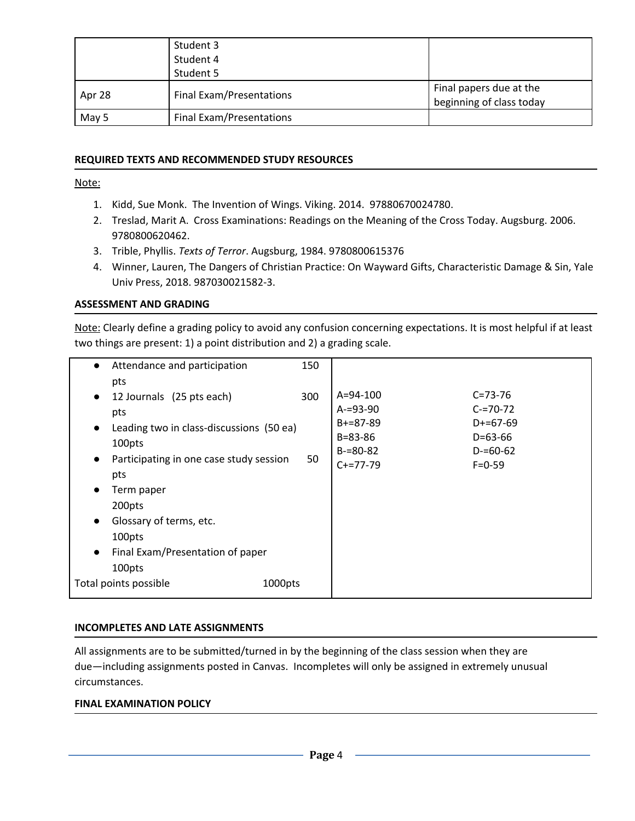|        | Student 3                |                                                     |
|--------|--------------------------|-----------------------------------------------------|
|        | Student 4                |                                                     |
|        | Student 5                |                                                     |
| Apr 28 | Final Exam/Presentations | Final papers due at the<br>beginning of class today |
| May 5  | Final Exam/Presentations |                                                     |

#### **REQUIRED TEXTS AND RECOMMENDED STUDY RESOURCES**

Note:

- 1. Kidd, Sue Monk. The Invention of Wings. Viking. 2014. 97880670024780.
- 2. Treslad, Marit A. Cross Examinations: Readings on the Meaning of the Cross Today. Augsburg. 2006. 9780800620462.
- 3. Trible, Phyllis. *Texts of Terror*. Augsburg, 1984. 9780800615376
- 4. Winner, Lauren, The Dangers of Christian Practice: On Wayward Gifts, Characteristic Damage & Sin, Yale Univ Press, 2018. 987030021582-3.

#### **ASSESSMENT AND GRADING**

Note: Clearly define a grading policy to avoid any confusion concerning expectations. It is most helpful if at least two things are present: 1) a point distribution and 2) a grading scale.

| Attendance and participation<br>$\bullet$<br>pts                                                                                                                                | 150       |                                                                                                    |                                                                                            |  |
|---------------------------------------------------------------------------------------------------------------------------------------------------------------------------------|-----------|----------------------------------------------------------------------------------------------------|--------------------------------------------------------------------------------------------|--|
| 12 Journals (25 pts each)<br>$\bullet$<br>pts<br>Leading two in class-discussions (50 ea)<br>$\bullet$<br>100pts<br>Participating in one case study session<br>$\bullet$<br>pts | 300<br>50 | $A = 94 - 100$<br>$A = 93 - 90$<br>$B + = 87 - 89$<br>$B = 83 - 86$<br>$B = 80 - 82$<br>$C+=77-79$ | $C = 73 - 76$<br>$C = 70 - 72$<br>$D+=67-69$<br>$D=63-66$<br>$D = 60 - 62$<br>$F = 0 - 59$ |  |
| Term paper<br>$\bullet$<br>200pts<br>Glossary of terms, etc.<br>$\bullet$<br>100pts<br>Final Exam/Presentation of paper<br>$\bullet$<br>100pts                                  |           |                                                                                                    |                                                                                            |  |
| Total points possible<br>1000pts                                                                                                                                                |           |                                                                                                    |                                                                                            |  |

#### **INCOMPLETES AND LATE ASSIGNMENTS**

All assignments are to be submitted/turned in by the beginning of the class session when they are due—including assignments posted in Canvas. Incompletes will only be assigned in extremely unusual circumstances.

#### **FINAL EXAMINATION POLICY**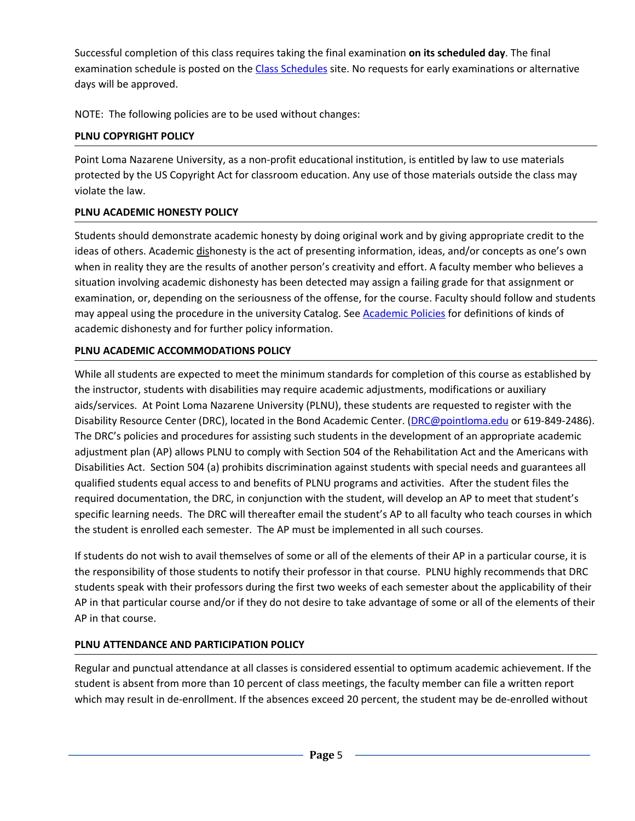Successful completion of this class requires taking the final examination **on its scheduled day**. The final examination schedule is posted on the Class [Schedules](http://www.pointloma.edu/experience/academics/class-schedules) site. No requests for early examinations or alternative days will be approved.

NOTE: The following policies are to be used without changes:

## **PLNU COPYRIGHT POLICY**

Point Loma Nazarene University, as a non-profit educational institution, is entitled by law to use materials protected by the US Copyright Act for classroom education. Any use of those materials outside the class may violate the law.

### **PLNU ACADEMIC HONESTY POLICY**

Students should demonstrate academic honesty by doing original work and by giving appropriate credit to the ideas of others. Academic dishonesty is the act of presenting information, ideas, and/or concepts as one's own when in reality they are the results of another person's creativity and effort. A faculty member who believes a situation involving academic dishonesty has been detected may assign a failing grade for that assignment or examination, or, depending on the seriousness of the offense, for the course. Faculty should follow and students may appeal using the procedure in the university Catalog. See [Academic](http://catalog.pointloma.edu/content.php?catoid=41&navoid=2435) Policies for definitions of kinds of academic dishonesty and for further policy information.

# **PLNU ACADEMIC ACCOMMODATIONS POLICY**

While all students are expected to meet the minimum standards for completion of this course as established by the instructor, students with disabilities may require academic adjustments, modifications or auxiliary aids/services. At Point Loma Nazarene University (PLNU), these students are requested to register with the Disability Resource Center (DRC), located in the Bond Academic Center. ([DRC@pointloma.edu](mailto:DRC@pointloma.edu) or 619-849-2486). The DRC's policies and procedures for assisting such students in the development of an appropriate academic adjustment plan (AP) allows PLNU to comply with Section 504 of the Rehabilitation Act and the Americans with Disabilities Act. Section 504 (a) prohibits discrimination against students with special needs and guarantees all qualified students equal access to and benefits of PLNU programs and activities. After the student files the required documentation, the DRC, in conjunction with the student, will develop an AP to meet that student's specific learning needs. The DRC will thereafter email the student's AP to all faculty who teach courses in which the student is enrolled each semester. The AP must be implemented in all such courses.

If students do not wish to avail themselves of some or all of the elements of their AP in a particular course, it is the responsibility of those students to notify their professor in that course. PLNU highly recommends that DRC students speak with their professors during the first two weeks of each semester about the applicability of their AP in that particular course and/or if they do not desire to take advantage of some or all of the elements of their AP in that course.

# **PLNU ATTENDANCE AND PARTICIPATION POLICY**

Regular and punctual attendance at all classes is considered essential to optimum academic achievement. If the student is absent from more than 10 percent of class meetings, the faculty member can file a written report which may result in de-enrollment. If the absences exceed 20 percent, the student may be de-enrolled without